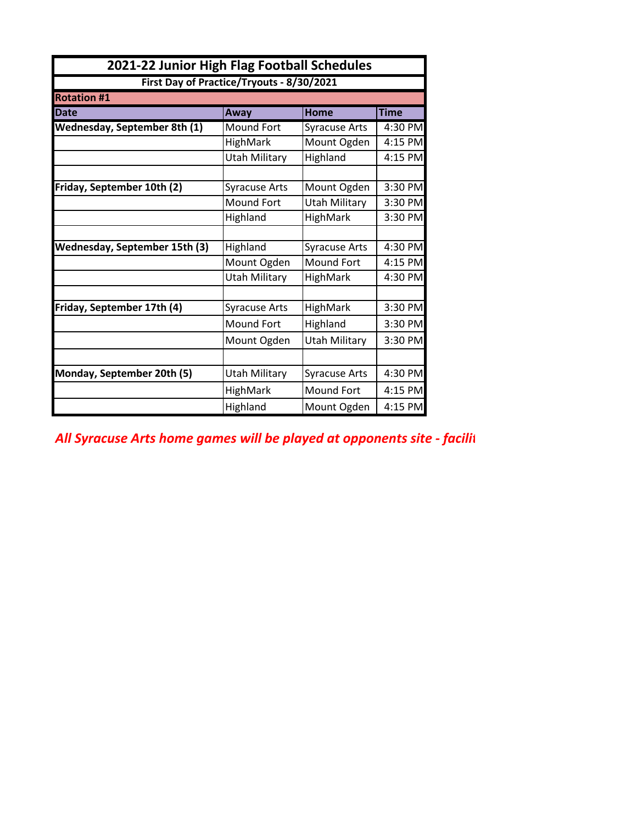| 2021-22 Junior High Flag Football Schedules |                                           |                      |             |  |
|---------------------------------------------|-------------------------------------------|----------------------|-------------|--|
|                                             | First Day of Practice/Tryouts - 8/30/2021 |                      |             |  |
| <b>Rotation #1</b>                          |                                           |                      |             |  |
| <b>Date</b>                                 | Away                                      | <b>Home</b>          | <b>Time</b> |  |
| <b>Wednesday, September 8th (1)</b>         | Mound Fort                                | Syracuse Arts        | 4:30 PM     |  |
|                                             | HighMark                                  | Mount Ogden          | 4:15 PM     |  |
|                                             | Utah Military                             | Highland             | 4:15 PM     |  |
|                                             |                                           |                      |             |  |
| Friday, September 10th (2)                  | <b>Syracuse Arts</b>                      | Mount Ogden          | 3:30 PM     |  |
|                                             | <b>Mound Fort</b>                         | <b>Utah Military</b> | 3:30 PM     |  |
|                                             | Highland                                  | <b>HighMark</b>      | 3:30 PM     |  |
|                                             |                                           |                      |             |  |
| <b>Wednesday, September 15th (3)</b>        | Highland                                  | <b>Syracuse Arts</b> | 4:30 PM     |  |
|                                             | Mount Ogden                               | <b>Mound Fort</b>    | 4:15 PM     |  |
|                                             | <b>Utah Military</b>                      | <b>HighMark</b>      | 4:30 PM     |  |
|                                             |                                           |                      |             |  |
| Friday, September 17th (4)                  | <b>HighMark</b><br><b>Syracuse Arts</b>   |                      | 3:30 PM     |  |
|                                             | <b>Mound Fort</b>                         | Highland             | 3:30 PM     |  |
|                                             | Mount Ogden                               | <b>Utah Military</b> | 3:30 PM     |  |
|                                             |                                           |                      |             |  |
| Monday, September 20th (5)                  | Utah Military                             | <b>Syracuse Arts</b> | 4:30 PM     |  |
|                                             | HighMark                                  | Mound Fort           | 4:15 PM     |  |
|                                             | Highland                                  | Mount Ogden          | 4:15 PM     |  |

All Syracuse Arts home games will be played at opponents site - facilit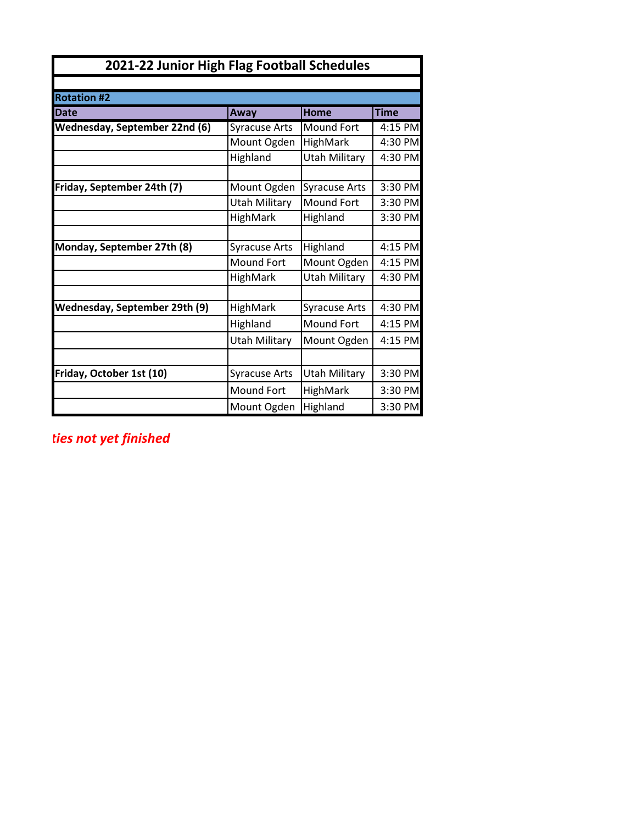| 2021-22 Junior High Flag Football Schedules |                      |                      |             |  |
|---------------------------------------------|----------------------|----------------------|-------------|--|
|                                             |                      |                      |             |  |
| <b>Rotation #2</b>                          |                      |                      |             |  |
| <b>Date</b>                                 | Away                 | Home                 | <b>Time</b> |  |
| Wednesday, September 22nd (6)               | <b>Syracuse Arts</b> | Mound Fort           | 4:15 PM     |  |
|                                             | Mount Ogden          | <b>HighMark</b>      | 4:30 PM     |  |
|                                             | Highland             | <b>Utah Military</b> | 4:30 PM     |  |
|                                             |                      |                      |             |  |
| Friday, September 24th (7)                  | Mount Ogden          | <b>Syracuse Arts</b> | 3:30 PM     |  |
|                                             | <b>Utah Military</b> | Mound Fort           | 3:30 PM     |  |
|                                             | HighMark             | Highland             | 3:30 PM     |  |
|                                             |                      |                      |             |  |
| Monday, September 27th (8)                  | <b>Syracuse Arts</b> | Highland             | 4:15 PM     |  |
|                                             | <b>Mound Fort</b>    | Mount Ogden          | 4:15 PM     |  |
|                                             | HighMark             | Utah Military        | 4:30 PM     |  |
|                                             |                      |                      |             |  |
| Wednesday, September 29th (9)               | HighMark             | <b>Syracuse Arts</b> | 4:30 PM     |  |
|                                             | Highland             | <b>Mound Fort</b>    | 4:15 PM     |  |
|                                             | <b>Utah Military</b> | Mount Ogden          | 4:15 PM     |  |
|                                             |                      |                      |             |  |
| Friday, October 1st (10)                    | <b>Syracuse Arts</b> | <b>Utah Military</b> | 3:30 PM     |  |
|                                             | Mound Fort           | HighMark             | 3:30 PM     |  |
|                                             | Mount Ogden          | Highland             | 3:30 PM     |  |

*All Syracuse Arts home games will be played at opponents site - facilities not yet finished*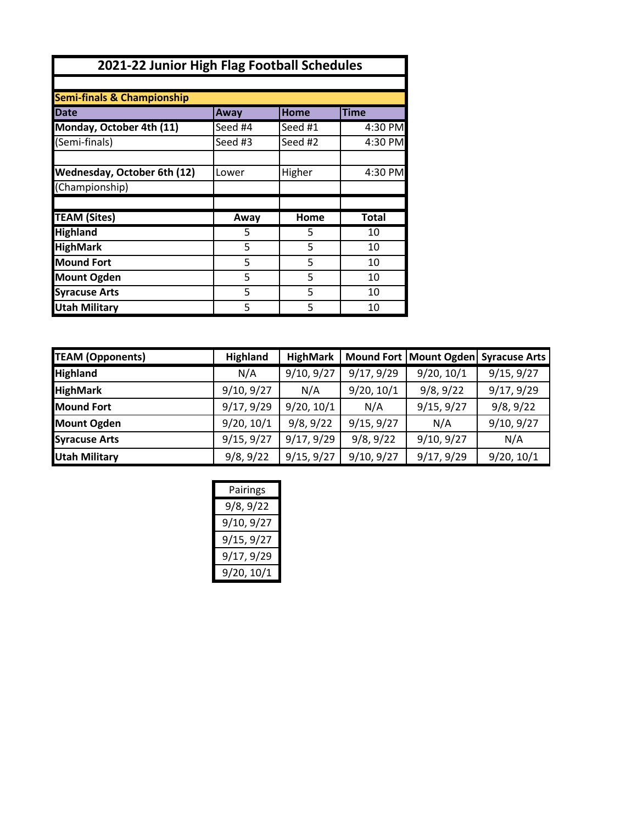| 2021-22 Junior High Flag Football Schedules |         |         |              |
|---------------------------------------------|---------|---------|--------------|
|                                             |         |         |              |
| <b>Semi-finals &amp; Championship</b>       |         |         |              |
| Date                                        | Away    | Home    | <b>Time</b>  |
| Monday, October 4th (11)                    | Seed #4 | Seed #1 | 4:30 PM      |
| (Semi-finals)                               | Seed #3 | Seed #2 | 4:30 PM      |
|                                             |         |         |              |
| Wednesday, October 6th (12)                 | Lower   | Higher  | 4:30 PM      |
| (Championship)                              |         |         |              |
|                                             |         |         |              |
| <b>TEAM (Sites)</b>                         | Away    | Home    | <b>Total</b> |
| <b>Highland</b>                             | 5       | 5       | 10           |
| <b>HighMark</b>                             | 5       | 5       | 10           |
| <b>Mound Fort</b>                           | 5       | 5       | 10           |
| <b>Mount Ogden</b>                          | 5       | 5       | 10           |
| <b>Syracuse Arts</b>                        | 5       | 5       | 10           |
| <b>Utah Military</b>                        | 5       | 5       | 10           |

| <b>TEAM (Opponents)</b> | <b>Highland</b> | HighMark   |            |            | Mound Fort   Mount Ogden  Syracuse Arts |
|-------------------------|-----------------|------------|------------|------------|-----------------------------------------|
| <b>Highland</b>         | N/A             | 9/10, 9/27 | 9/17, 9/29 | 9/20, 10/1 | 9/15, 9/27                              |
| <b>HighMark</b>         | 9/10, 9/27      | N/A        | 9/20, 10/1 | 9/8, 9/22  | 9/17, 9/29                              |
| <b>Mound Fort</b>       | 9/17, 9/29      | 9/20, 10/1 | N/A        | 9/15, 9/27 | 9/8, 9/22                               |
| <b>Mount Ogden</b>      | 9/20, 10/1      | 9/8, 9/22  | 9/15, 9/27 | N/A        | 9/10, 9/27                              |
| <b>Syracuse Arts</b>    | 9/15, 9/27      | 9/17, 9/29 | 9/8, 9/22  | 9/10, 9/27 | N/A                                     |
| <b>Utah Military</b>    | 9/8, 9/22       | 9/15, 9/27 | 9/10, 9/27 | 9/17, 9/29 | 9/20, 10/1                              |

| Pairings   |
|------------|
| 9/8, 9/22  |
| 9/10, 9/27 |
| 9/15, 9/27 |
| 9/17, 9/29 |
| 9/20, 10/1 |